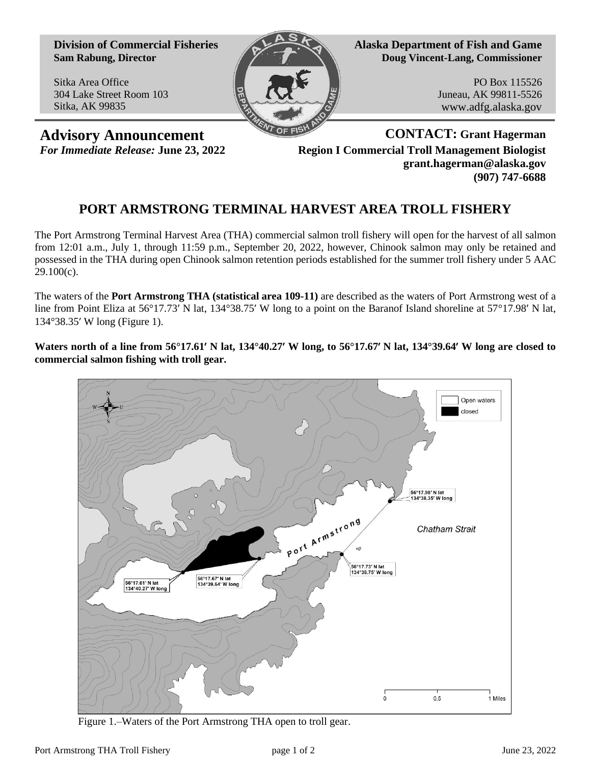**Division of Commercial Fisheries Sam Rabung, Director**

Sitka Area Office 304 Lake Street Room 103 Sitka, AK 99835



**Alaska Department of Fish and Game Doug Vincent-Lang, Commissioner**

> PO Box 115526 Juneau, AK 99811-5526 www.adfg.alaska.gov

**Advisory Announcement CONTACT: Grant Hagerman** *For Immediate Release:* **June 23, 2022 Region I Commercial Troll Management Biologist grant.hagerman@alaska.gov (907) 747-6688**

## **PORT ARMSTRONG TERMINAL HARVEST AREA TROLL FISHERY**

The Port Armstrong Terminal Harvest Area (THA) commercial salmon troll fishery will open for the harvest of all salmon from 12:01 a.m., July 1, through 11:59 p.m., September 20, 2022, however, Chinook salmon may only be retained and possessed in the THA during open Chinook salmon retention periods established for the summer troll fishery under 5 AAC 29.100(c).

The waters of the **Port Armstrong THA (statistical area 109-11)** are described as the waters of Port Armstrong west of a line from Point Eliza at 56°17.73′ N lat, 134°38.75′ W long to a point on the Baranof Island shoreline at 57°17.98′ N lat, 134°38.35′ W long (Figure 1).

**Waters north of a line from 56°17.61′ N lat, 134°40.27′ W long, to 56°17.67′ N lat, 134°39.64′ W long are closed to commercial salmon fishing with troll gear.**



Figure 1.–Waters of the Port Armstrong THA open to troll gear.